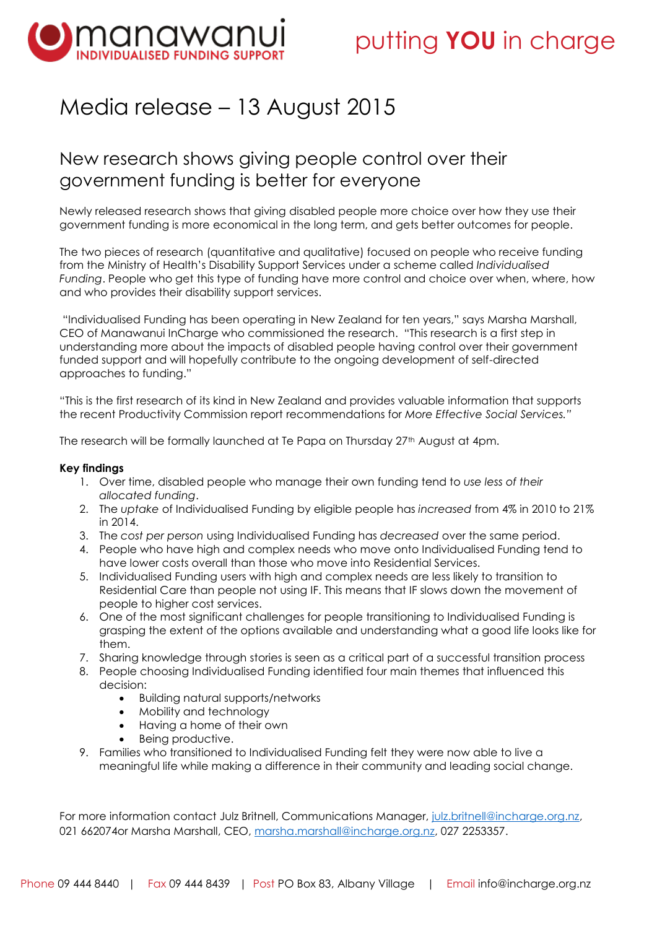

## Media release – 13 August 2015

### New research shows giving people control over their government funding is better for everyone

Newly released research shows that giving disabled people more choice over how they use their government funding is more economical in the long term, and gets better outcomes for people.

The two pieces of research (quantitative and qualitative) focused on people who receive funding from the Ministry of Health's Disability Support Services under a scheme called *Individualised Funding*. People who get this type of funding have more control and choice over when, where, how and who provides their disability support services.

"Individualised Funding has been operating in New Zealand for ten years," says Marsha Marshall, CEO of Manawanui InCharge who commissioned the research. "This research is a first step in understanding more about the impacts of disabled people having control over their government funded support and will hopefully contribute to the ongoing development of self-directed approaches to funding."

"This is the first research of its kind in New Zealand and provides valuable information that supports the recent Productivity Commission report recommendations for *More Effective Social Services."*

The research will be formally launched at Te Papa on Thursday 27<sup>th</sup> August at 4pm.

#### **Key findings**

- 1. Over time, disabled people who manage their own funding tend to *use less of their allocated funding*.
- 2. The *uptake* of Individualised Funding by eligible people has *increased* from 4% in 2010 to 21% in 2014.
- 3. The *cost per person* using Individualised Funding has *decreased* over the same period.
- 4. People who have high and complex needs who move onto Individualised Funding tend to have lower costs overall than those who move into Residential Services.
- 5. Individualised Funding users with high and complex needs are less likely to transition to Residential Care than people not using IF. This means that IF slows down the movement of people to higher cost services.
- 6. One of the most significant challenges for people transitioning to Individualised Funding is grasping the extent of the options available and understanding what a good life looks like for them.
- 7. Sharing knowledge through stories is seen as a critical part of a successful transition process
- 8. People choosing Individualised Funding identified four main themes that influenced this decision:
	- Building natural supports/networks
	- Mobility and technology
	- Having a home of their own
	- Being productive.
- 9. Families who transitioned to Individualised Funding felt they were now able to live a meaningful life while making a difference in their community and leading social change.

For more information contact Julz Britnell, Communications Manager, [julz.britnell@incharge.org.nz,](mailto:julz.britnell@incharge.org.nz) 021 662074or Marsha Marshall, CEO, [marsha.marshall@incharge.org.nz,](mailto:marsha.marshall@incharge.org.nz) 027 2253357.